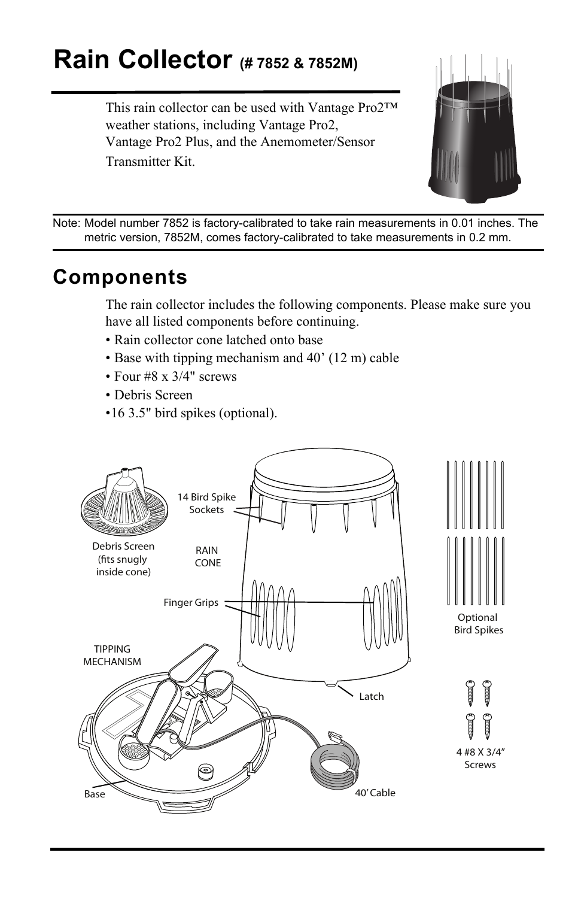# **Rain Collector (# 7852 & 7852M)**

This rain collector can be used with Vantage Pro2™ weather stations, including Vantage Pro2, Vantage Pro2 Plus, and the Anemometer/Sensor Transmitter Kit.



Note: Model number 7852 is factory-calibrated to take rain measurements in 0.01 inches. The metric version, 7852M, comes factory-calibrated to take measurements in 0.2 mm.

### **Components**

The rain collector includes the following components. Please make sure you have all listed components before continuing.

- Rain collector cone latched onto base
- Base with tipping mechanism and 40' (12 m) cable
- Four #8 x 3/4" screws
- Debris Screen
- •16 3.5" bird spikes (optional).

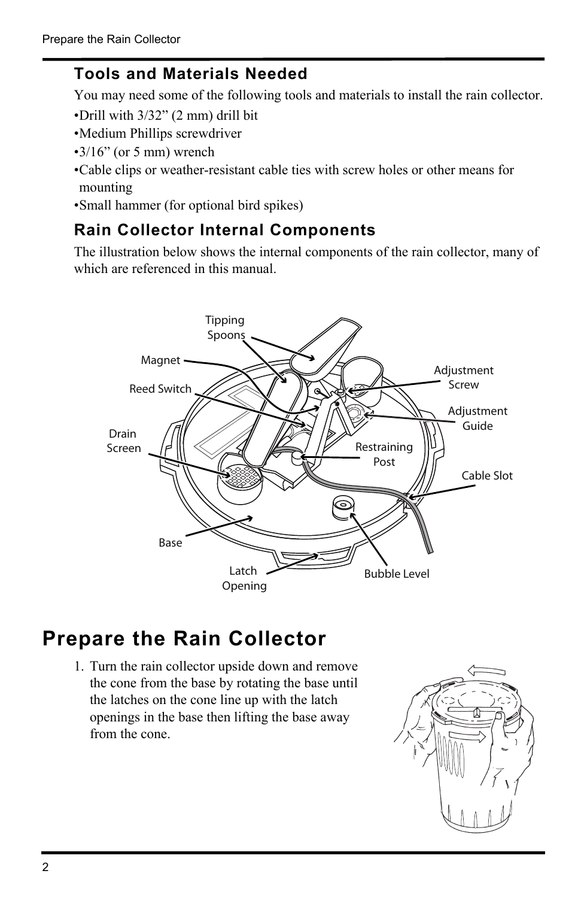#### **Tools and Materials Needed**

You may need some of the following tools and materials to install the rain collector.

- •Drill with 3/32" (2 mm) drill bit
- •Medium Phillips screwdriver
- $\cdot$ 3/16" (or 5 mm) wrench
- •Cable clips or weather-resistant cable ties with screw holes or other means for mounting
- •Small hammer (for optional bird spikes)

#### <span id="page-1-0"></span>**Rain Collector Internal Components**

The illustration below shows the internal components of the rain collector, many of which are referenced in this manual.



### **Prepare the Rain Collector**

1. Turn the rain collector upside down and remove the cone from the base by rotating the base until the latches on the cone line up with the latch openings in the base then lifting the base away from the cone.

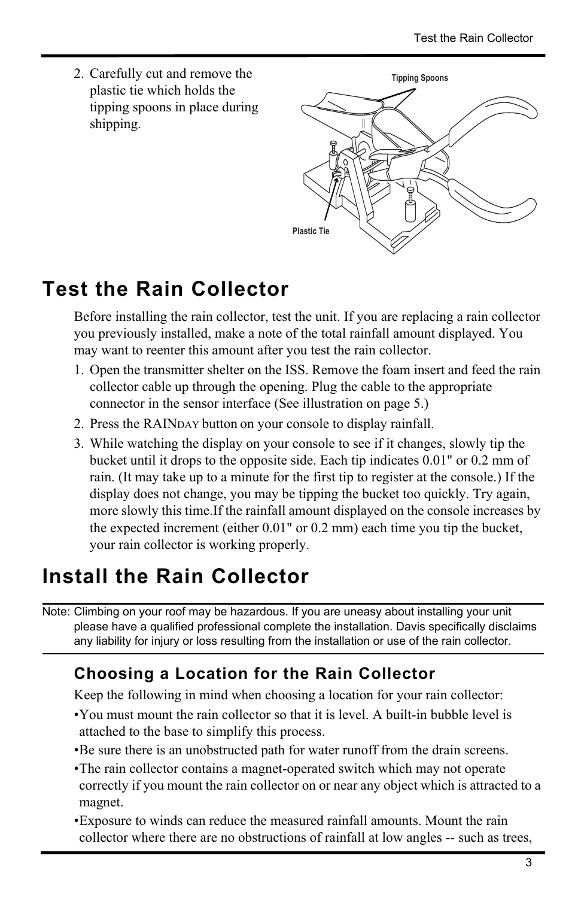2. **Tipping Spoons** Carefully cut and remove the plastic tie which holds the tipping spoons in place during shipping.



## <span id="page-2-0"></span>**Test the Rain Collector**

Before installing the rain collector, test the unit. If you are replacing a rain collector you previously installed, make a note of the total rainfall amount displayed. You may want to reenter this amount after you test the rain collector.

- 1. Open the transmitter shelter on the ISS. Remove the foam insert and feed the rain collector cable up through the opening. Plug the cable to the appropriate connector in the sensor interface (See illustration on page 5.)
- 2. Press the RAINDAY button on your console to display rainfall.
- 3. While watching the display on your console to see if it changes, slowly tip the bucket until it drops to the opposite side. Each tip indicates 0.01" or 0.2 mm of rain. (It may take up to a minute for the first tip to register at the console.) If the display does not change, you may be tipping the bucket too quickly. Try again, more slowly this time.If the rainfall amount displayed on the console increases by the expected increment (either 0.01" or 0.2 mm) each time you tip the bucket, your rain collector is working properly.

### **Install the Rain Collector**

Note: Climbing on your roof may be hazardous. If you are uneasy about installing your unit please have a qualified professional complete the installation. Davis specifically disclaims any liability for injury or loss resulting from the installation or use of the rain collector.

### **Choosing a Location for the Rain Collector**

Keep the following in mind when choosing a location for your rain collector:

- •You must mount the rain collector so that it is level. A built-in bubble level is attached to the base to simplify this process.
- •Be sure there is an unobstructed path for water runoff from the drain screens.
- •The rain collector contains a magnet-operated switch which may not operate correctly if you mount the rain collector on or near any object which is attracted to a magnet.
- •Exposure to winds can reduce the measured rainfall amounts. Mount the rain collector where there are no obstructions of rainfall at low angles -- such as trees,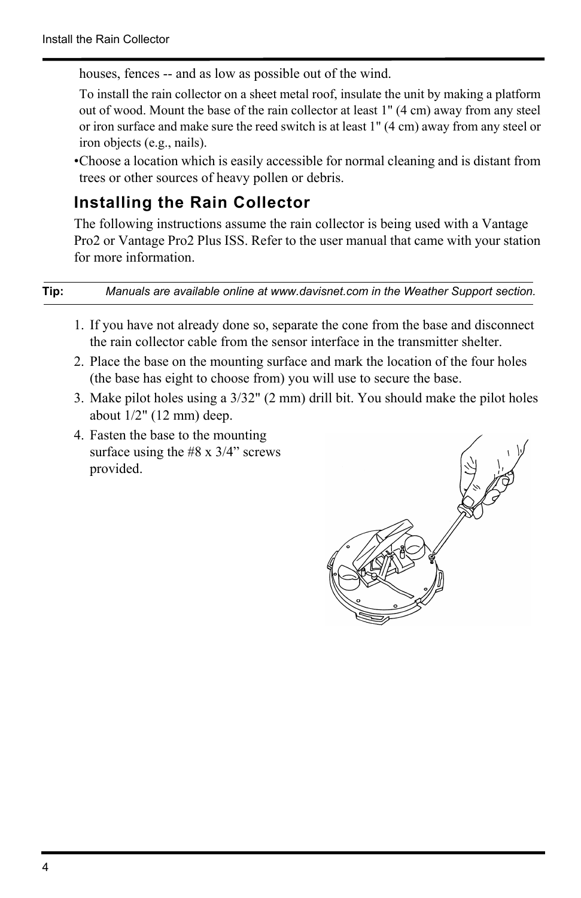houses, fences -- and as low as possible out of the wind.

To install the rain collector on a sheet metal roof, insulate the unit by making a platform out of wood. Mount the base of the rain collector at least 1" (4 cm) away from any steel or iron surface and make sure the reed switch is at least 1" (4 cm) away from any steel or iron objects (e.g., nails).

•Choose a location which is easily accessible for normal cleaning and is distant from trees or other sources of heavy pollen or debris.

#### **Installing the Rain Collector**

The following instructions assume the rain collector is being used with a Vantage Pro2 or Vantage Pro2 Plus ISS. Refer to the user manual that came with your station for more information.

#### **Tip:** *Manuals are available online at www.davisnet.com in the Weather Support section.*

- 1. If you have not already done so, separate the cone from the base and disconnect the rain collector cable from the sensor interface in the transmitter shelter.
- 2. Place the base on the mounting surface and mark the location of the four holes (the base has eight to choose from) you will use to secure the base.
- 3. Make pilot holes using a 3/32" (2 mm) drill bit. You should make the pilot holes about 1/2" (12 mm) deep.
- 4. Fasten the base to the mounting surface using the  $#8 \times 3/4"$  screws provided.

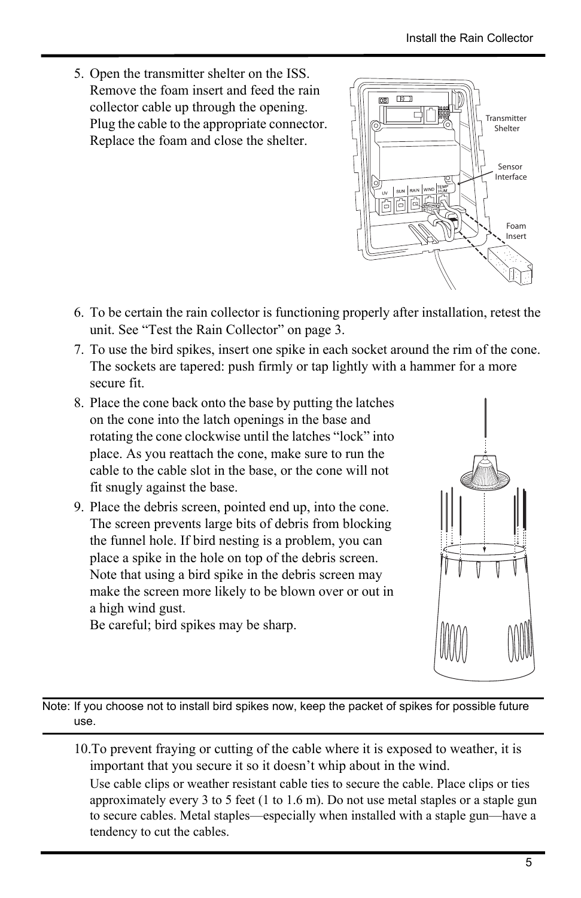- 5. Open the transmitter shelter on the ISS. Remove the foam insert and feed the rain collector cable up through the opening. Plug the cable to the appropriate connector. Replace the foam and close the shelter.
- $\Box$ 面 급 **Transmitter** Shelter Sensor Interface Foam Insert
- 6. To be certain the rain collector is functioning properly after installation, retest the unit. [See "Test the Rain Collector" on page](#page-2-0) 3.
- 7. To use the bird spikes, insert one spike in each socket around the rim of the cone. The sockets are tapered: push firmly or tap lightly with a hammer for a more secure fit.
- 8. Place the cone back onto the base by putting the latches on the cone into the latch openings in the base and rotating the cone clockwise until the latches "lock" into place. As you reattach the cone, make sure to run the cable to the cable slot in the base, or the cone will not fit snugly against the base.
- 9. Place the debris screen, pointed end up, into the cone. The screen prevents large bits of debris from blocking the funnel hole. If bird nesting is a problem, you can place a spike in the hole on top of the debris screen. Note that using a bird spike in the debris screen may make the screen more likely to be blown over or out in a high wind gust.

Be careful; bird spikes may be sharp.



Note: If you choose not to install bird spikes now, keep the packet of spikes for possible future use.

10.To prevent fraying or cutting of the cable where it is exposed to weather, it is important that you secure it so it doesn't whip about in the wind.

Use cable clips or weather resistant cable ties to secure the cable. Place clips or ties approximately every 3 to 5 feet (1 to 1.6 m). Do not use metal staples or a staple gun to secure cables. Metal staples—especially when installed with a staple gun—have a tendency to cut the cables.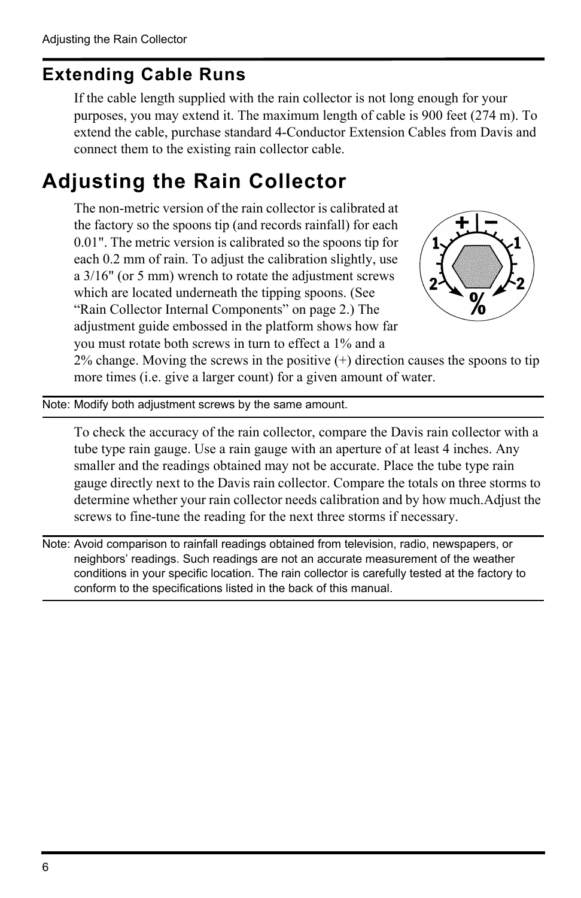### **Extending Cable Runs**

If the cable length supplied with the rain collector is not long enough for your purposes, you may extend it. The maximum length of cable is 900 feet (274 m). To extend the cable, purchase standard 4-Conductor Extension Cables from Davis and connect them to the existing rain collector cable.

## <span id="page-5-0"></span>**Adjusting the Rain Collector**

The non-metric version of the rain collector is calibrated at the factory so the spoons tip (and records rainfall) for each 0.01". The metric version is calibrated so the spoons tip for each 0.2 mm of rain. To adjust the calibration slightly, use a 3/16" (or 5 mm) wrench to rotate the adjustment screws which are located underneath the tipping spoons. ([See](#page-1-0)  ["Rain Collector Internal Components" on page](#page-1-0) 2.) The adjustment guide embossed in the platform shows how far you must rotate both screws in turn to effect a 1% and a



2% change. Moving the screws in the positive (+) direction causes the spoons to tip more times (i.e. give a larger count) for a given amount of water.

Note: Modify both adjustment screws by the same amount.

To check the accuracy of the rain collector, compare the Davis rain collector with a tube type rain gauge. Use a rain gauge with an aperture of at least 4 inches. Any smaller and the readings obtained may not be accurate. Place the tube type rain gauge directly next to the Davis rain collector. Compare the totals on three storms to determine whether your rain collector needs calibration and by how much.Adjust the screws to fine-tune the reading for the next three storms if necessary.

Note: Avoid comparison to rainfall readings obtained from television, radio, newspapers, or neighbors' readings. Such readings are not an accurate measurement of the weather conditions in your specific location. The rain collector is carefully tested at the factory to conform to the specifications listed in the back of this manual.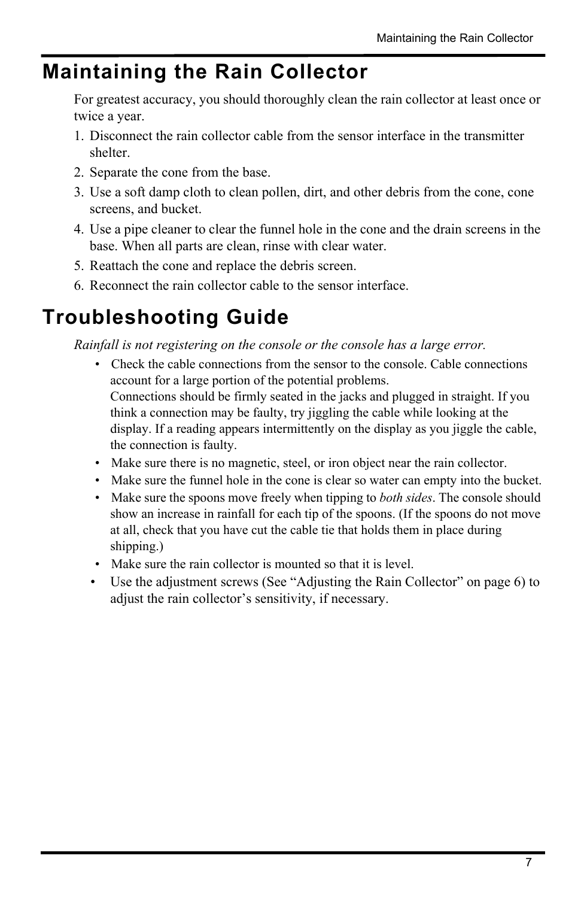### **Maintaining the Rain Collector**

For greatest accuracy, you should thoroughly clean the rain collector at least once or twice a year.

- 1. Disconnect the rain collector cable from the sensor interface in the transmitter shelter.
- 2. Separate the cone from the base.
- 3. Use a soft damp cloth to clean pollen, dirt, and other debris from the cone, cone screens, and bucket.
- 4. Use a pipe cleaner to clear the funnel hole in the cone and the drain screens in the base. When all parts are clean, rinse with clear water.
- 5. Reattach the cone and replace the debris screen.
- 6. Reconnect the rain collector cable to the sensor interface.

### **Troubleshooting Guide**

*Rainfall is not registering on the console or the console has a large error.* 

- Check the cable connections from the sensor to the console. Cable connections account for a large portion of the potential problems. Connections should be firmly seated in the jacks and plugged in straight. If you think a connection may be faulty, try jiggling the cable while looking at the display. If a reading appears intermittently on the display as you jiggle the cable, the connection is faulty.
- Make sure there is no magnetic, steel, or iron object near the rain collector.
- Make sure the funnel hole in the cone is clear so water can empty into the bucket.
- Make sure the spoons move freely when tipping to *both sides*. The console should show an increase in rainfall for each tip of the spoons. (If the spoons do not move at all, check that you have cut the cable tie that holds them in place during shipping.)
- Make sure the rain collector is mounted so that it is level.
- Use the adjustment screws ([See "Adjusting the Rain Collector" on page](#page-5-0) 6) to adjust the rain collector's sensitivity, if necessary.